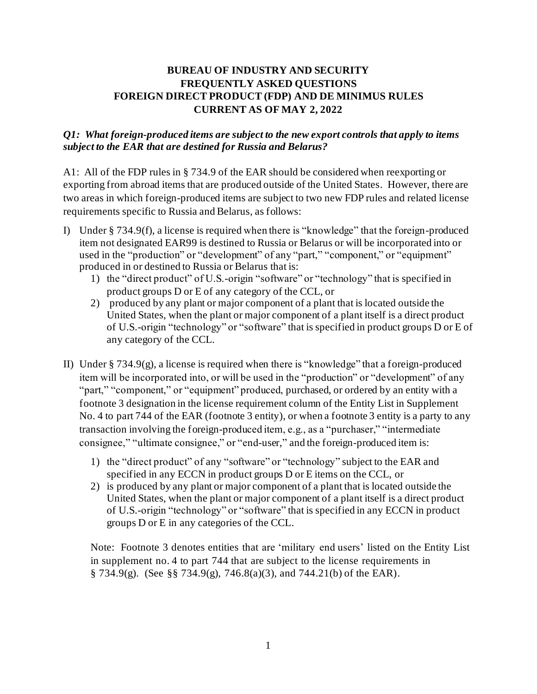## **BUREAU OF INDUSTRY AND SECURITY FREQUENTLY ASKED QUESTIONS FOREIGN DIRECT PRODUCT (FDP) AND DE MINIMUS RULES CURRENT AS OF MAY 2, 2022**

## *Q1: What foreign-produced items are subject to the new export controls that apply to items subject to the EAR that are destined for Russia and Belarus?*

A1: All of the FDP rules in § 734.9 of the EAR should be considered when reexporting or exporting from abroad items that are produced outside of the United States. However, there are two areas in which foreign-produced items are subject to two new FDP rules and related license requirements specific to Russia and Belarus, as follows:

- I) Under § 734.9(f), a license is required when there is "knowledge" that the foreign-produced item not designated EAR99 is destined to Russia or Belarus or will be incorporated into or used in the "production" or "development" of any "part," "component," or "equipment" produced in or destined to Russia or Belarus that is:
	- 1) the "direct product" of U.S.-origin "software" or "technology" that is specified in product groups D or E of any category of the CCL, or
	- 2) produced by any plant or major component of a plant that is located outside the United States, when the plant or major component of a plant itself is a direct product of U.S.-origin "technology" or "software" that is specified in product groups D or E of any category of the CCL.
- II) Under  $\S 734.9(g)$ , a license is required when there is "knowledge" that a foreign-produced item will be incorporated into, or will be used in the "production" or "development" of any "part," "component," or "equipment" produced, purchased, or ordered by an entity with a footnote 3 designation in the license requirement column of the Entity List in Supplement No. 4 to part 744 of the EAR (footnote 3 entity), or when a footnote 3 entity is a party to any transaction involving the foreign-produced item, e.g., as a "purchaser," "intermediate consignee," "ultimate consignee," or "end-user," and the foreign-produced item is:
	- 1) the "direct product" of any "software" or "technology" subject to the EAR and specified in any ECCN in product groups D or E items on the CCL, or
	- 2) is produced by any plant or major component of a plant that is located outside the United States, when the plant or major component of a plant itself is a direct product of U.S.-origin "technology" or "software" that is specified in any ECCN in product groups D or E in any categories of the CCL.

Note: Footnote 3 denotes entities that are 'military end users' listed on the Entity List in supplement no. 4 to part 744 that are subject to the license requirements in  $\S$  734.9(g). (See  $\S$ § 734.9(g), 746.8(a)(3), and 744.21(b) of the EAR).